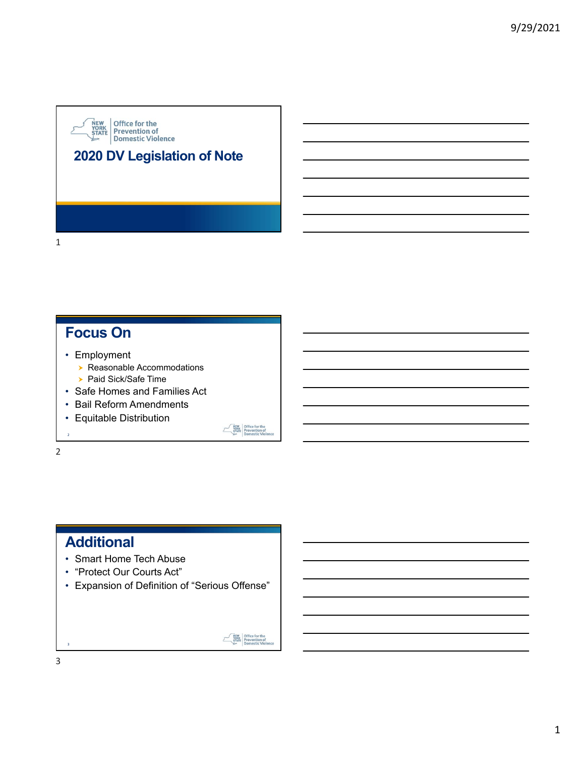# **NEW**<br>
YORK<br>
STATE Prevention of<br>
Domestic Violence **2020 DV Legislation of Note**

# **Focus On**

- Employment
	- ▶ Reasonable Accommodations
	- ▶ Paid Sick/Safe Time
- Safe Homes and Families Act
- Bail Reform Amendments
- Equitable Distribution

 $\overline{2}$ 

1

2

# **Additional**

- Smart Home Tech Abuse
- "Protect Our Courts Act"
- Expansion of Definition of "Serious Offense"



**EXEMPLE STATE**<br> **EXERCISE Prevention of**<br> **Domestic Viol**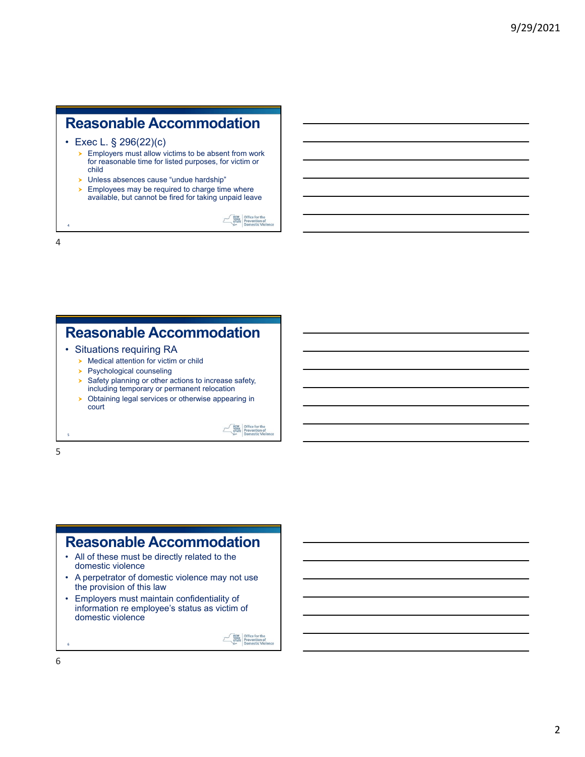# **Reasonable Accommodation**

• Exec L. § 296(22)(c)

- **Employers must allow victims to be absent from work** for reasonable time for listed purposes, for victim or child
- Unless absences cause "undue hardship"
- $\blacktriangleright$  Employees may be required to charge time where available, but cannot be fired for taking unpaid leave

WEW Office for the<br>
YORK Prevention of<br>
Domestic Viole

**EXERCISE STATE**<br> **EXERCISE Prevention of**<br> **Domestic Viol** 

4

4

# **Reasonable Accommodation**

- Situations requiring RA
	- $\triangleright$  Medical attention for victim or child
	- **>** Psychological counseling
	- $\triangleright$  Safety planning or other actions to increase safety, including temporary or permanent relocation
	- **>** Obtaining legal services or otherwise appearing in court

5

5

# **Reasonable Accommodation**

- All of these must be directly related to the domestic violence
- A perpetrator of domestic violence may not use the provision of this law
- Employers must maintain confidentiality of information re employee's status as victim of domestic violence

**EVEN** Office for the<br> **EXATE** Prevention of<br>
Domestic Viol

6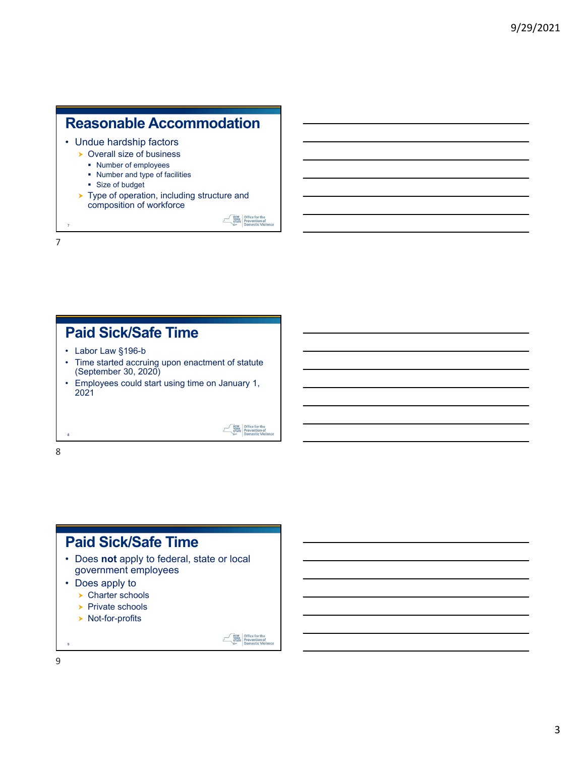# **Reasonable Accommodation**

- Undue hardship factors
	- ▶ Overall size of business
		- Number of employees
		- Number and type of facilities
		- Size of budget
	- ▶ Type of operation, including structure and composition of workforce

WEW Office for the<br>STATE Prevention of<br>Domestic Viole

**EXECUTE:**<br>
YORK DEPERTENT PREVENTION OF DOMESTIC VIOL

## **Paid Sick/Safe Time**

- Labor Law §196-b
- Time started accruing upon enactment of statute (September 30, 2020)
- Employees could start using time on January 1, 2021

# 8

8

7

7

- **Paid Sick/Safe Time**
- Does **not** apply to federal, state or local government employees
- Does apply to
	- ▶ Charter schools
	- $\triangleright$  Private schools
	- ▶ Not-for-profits

**EVEN** Office for the<br> **EXATE** Prevention of<br>
Domestic Viol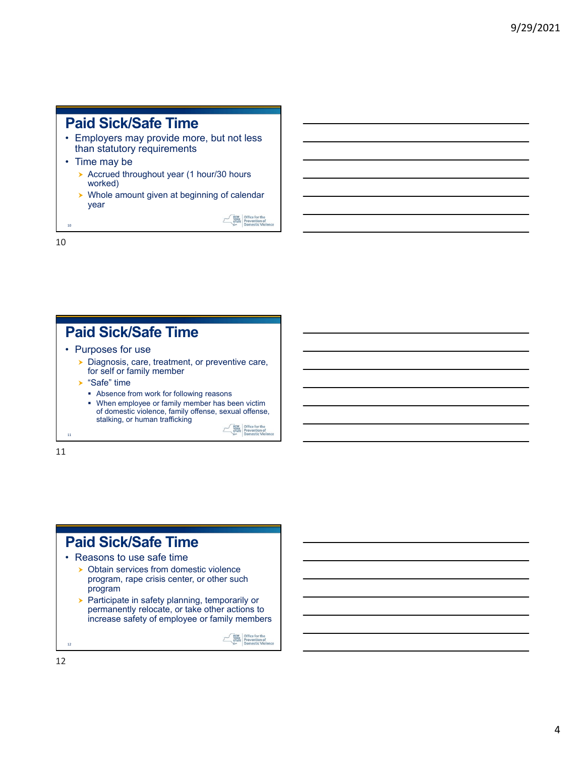#### **Paid Sick/Safe Time**

- Employers may provide more, but not less than statutory requirements
- Time may be
	- Accrued throughout year (1 hour/30 hours worked)
	- ▶ Whole amount given at beginning of calendar year

WEW Office for the<br>
STATE Prevention of<br>
Domestic Viole

10

10

# **Paid Sick/Safe Time**

- Purposes for use
	- Diagnosis, care, treatment, or preventive care, for self or family member
	- $\triangleright$  "Safe" time
		- Absence from work for following reasons
		- When employee or family member has been victim of domestic violence, family offense, sexual offense, stalking, or human trafficking

NEW Office for the<br>STATE Prevention of

 $\mathcal{T}$ 

11

11

# **Paid Sick/Safe Time**

- Reasons to use safe time
	- **> Obtain services from domestic violence** program, rape crisis center, or other such program
	- $\blacktriangleright$  Participate in safety planning, temporarily or permanently relocate, or take other actions to increase safety of employee or family members

**EVALUATE:**<br> **EVALUATE:**<br> **EVALUATE:**<br> **PROPERTY:**<br> **PROPERTY:**<br> **PROPERTY:**<br> **PROPERTY:**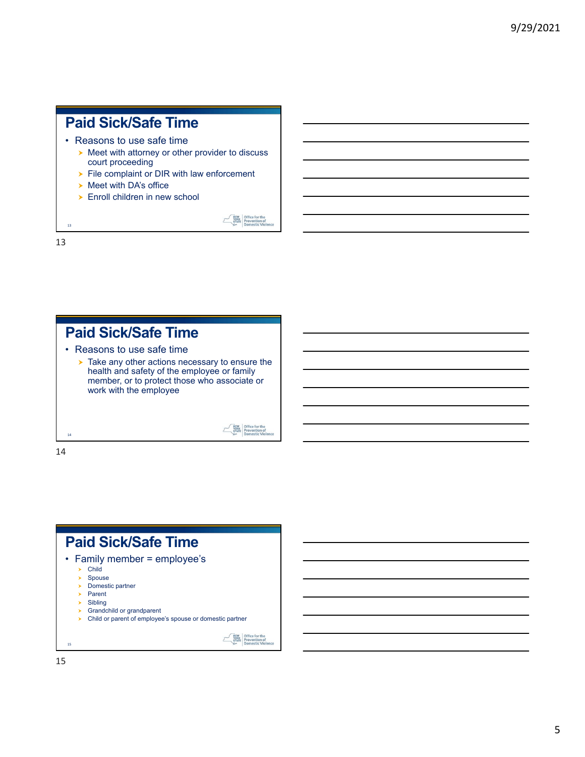# **Paid Sick/Safe Time**

- Reasons to use safe time
	- $\triangleright$  Meet with attorney or other provider to discuss court proceeding

WEW Office for the<br>
YORK Prevention of<br>
Domestic Viole

**EXERCISE STATE**<br> **EXERCISE Prevention of**<br> **Domestic Viol** 

- File complaint or DIR with law enforcement
- $\triangleright$  Meet with DA's office
- ▶ Enroll children in new school

13

13

# **Paid Sick/Safe Time**

- Reasons to use safe time
	- ▶ Take any other actions necessary to ensure the health and safety of the employee or family member, or to protect those who associate or work with the employee

14

14

#### **Paid Sick/Safe Time** • Family member = employee's  $\blacktriangleright$  Child

- $\blacktriangleright$  Spouse
- $\rightarrow$  Domestic partner
- $\rightarrow$  Parent
- $\triangleright$  Sibling
- **Standchild or grandparent**
- > Child or parent of employee's spouse or domestic partner

**EVEN** Office for the<br> **EXATE** Prevention of<br>
Domestic Viole

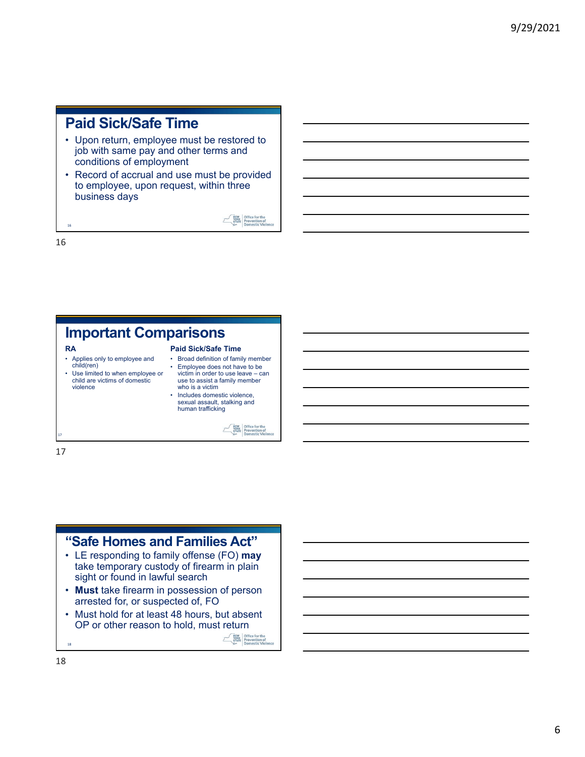#### **Paid Sick/Safe Time**

- Upon return, employee must be restored to job with same pay and other terms and conditions of employment
- Record of accrual and use must be provided to employee, upon request, within three business days

WEW Office for the

16

16

#### **Important Comparisons RA Paid Sick/Safe Time** • Applies only to employee and • Broad definition of family member child(ren) • Employee does not have to be • Use limited to when employee or victim in order to use leave – can child are victims of domestic use to assist a family member violence who is a victim • Includes domestic violence, sexual assault, stalking and human trafficking NEW Office for the<br>STATE Prevention of  $\sim$ 17

17

## **"Safe Homes and Families Act"**

- LE responding to family offense (FO) **may** take temporary custody of firearm in plain sight or found in lawful search
- **Must** take firearm in possession of person arrested for, or suspected of, FO
- Must hold for at least 48 hours, but absent OP or other reason to hold, must return

WEW Office for the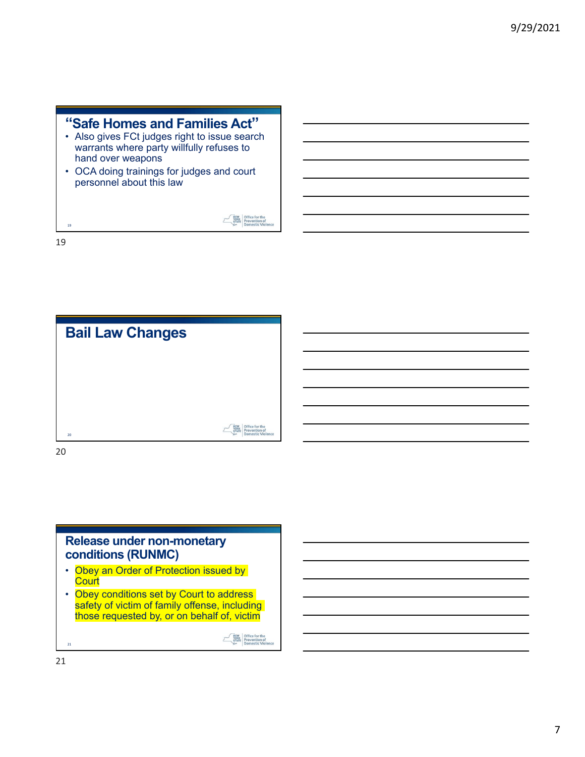| "Safe Homes and Families Act"<br>• Also gives FCt judges right to issue search<br>warrants where party willfully refuses to<br>hand over weapons<br>• OCA doing trainings for judges and court<br>personnel about this law |  |
|----------------------------------------------------------------------------------------------------------------------------------------------------------------------------------------------------------------------------|--|
| 19                                                                                                                                                                                                                         |  |

19



20

#### **Release under non-monetary conditions (RUNMC)**

- Obey an Order of Protection issued by **Court**
- Obey conditions set by Court to address safety of victim of family offense, including those requested by, or on behalf of, victim

**EXERCISE STATE**<br> **PRIME PREVention of<br>
Domestic Violer** 

21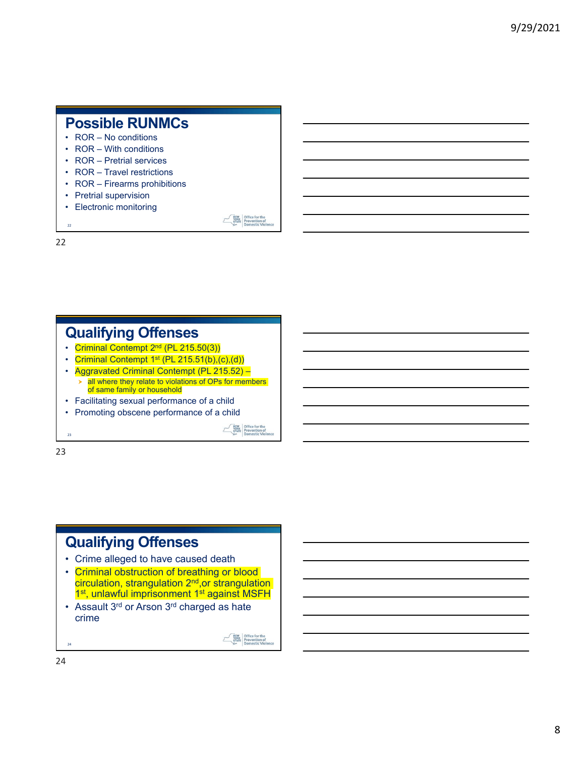#### **Possible RUNMCs**

- ROR No conditions
- ROR With conditions
- ROR Pretrial services
- ROR Travel restrictions
- ROR Firearms prohibitions
- Pretrial supervision
- Electronic monitoring

 $\overline{22}$ 22

# **Qualifying Offenses**

- Criminal Contempt 2<sup>nd</sup> (PL 215.50(3))
- Criminal Contempt 1<sup>st</sup> (PL 215.51(b),(c),(d))
- Aggravated Criminal Contempt (PL 215.52)
	- $\geq$  all where they relate to violations of OPs for members of same family or household
- Facilitating sexual performance of a child
- Promoting obscene performance of a child

**EVEN** Office for the

WEW Office for the<br>
YORK Prevention of<br>
Domestic Viol

23

 $23$ 

# **Qualifying Offenses**

- Crime alleged to have caused death
- Criminal obstruction of breathing or blood circulation, strangulation 2<sup>nd</sup>, or strangulation 1<sup>st</sup>, unlawful imprisonment 1<sup>st</sup> against MSFH
- Assault 3<sup>rd</sup> or Arson 3<sup>rd</sup> charged as hate crime

**EVEN** Office for the<br> **EXATE** Prevention of<br>
Domestic Viole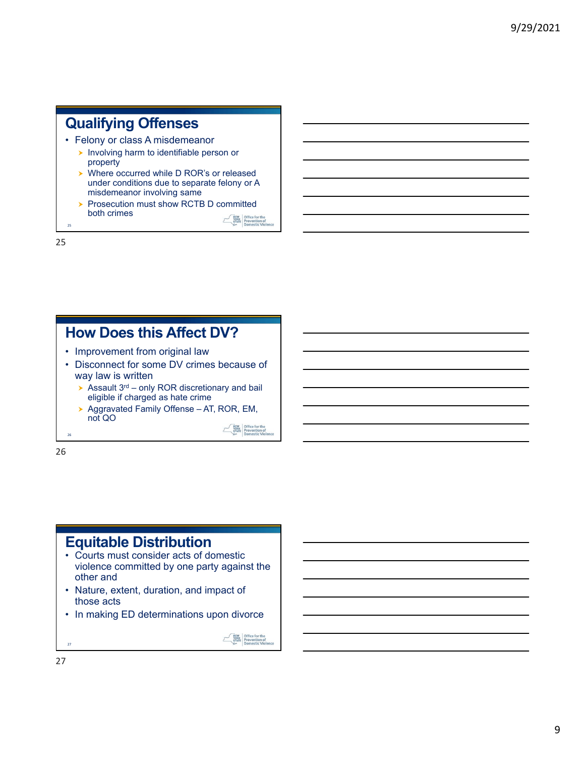# **Qualifying Offenses**

- Felony or class A misdemeanor
	- **Involving harm to identifiable person or** property
	- ▶ Where occurred while D ROR's or released under conditions due to separate felony or A misdemeanor involving same
	- Prosecution must show RCTB D committed both crimes **EXERENT Office for the<br>STATE Prevention of<br>Domestic Viole**

25

25

# **How Does this Affect DV?**

- Improvement from original law
- Disconnect for some DV crimes because of way law is written
	- $\triangleright$  Assault 3<sup>rd</sup> only ROR discretionary and bail eligible if charged as hate crime
	- ▶ Aggravated Family Offense AT, ROR, EM, not QO

**EVEN** Office for the<br> **EXATE** Prevention of<br>
Domestic Viole

26

26

# **Equitable Distribution**

- Courts must consider acts of domestic violence committed by one party against the other and
- Nature, extent, duration, and impact of those acts
- In making ED determinations upon divorce

**EVALUATE:**<br> **EVALUATE:**<br> **EVALUATE:**<br> **PRESENTE:**<br> **PRESENTE:**<br> **PRESENTE:**<br> **PRESENTE:** 

27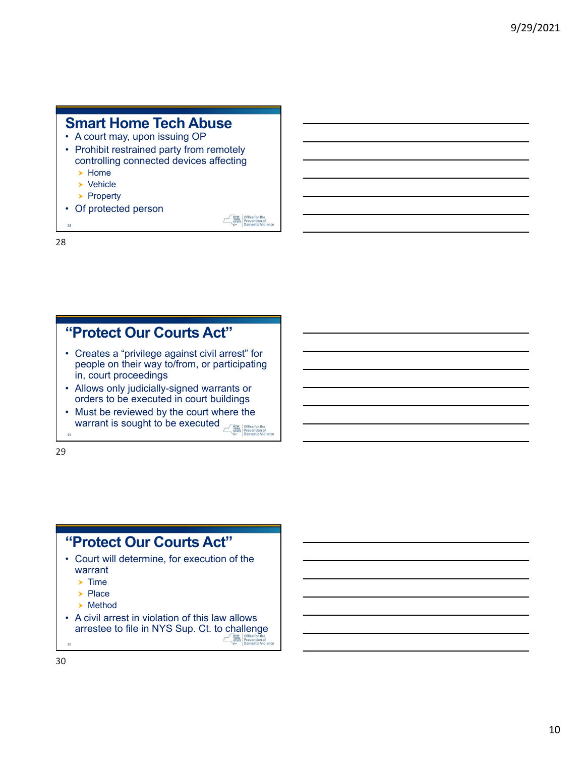#### **Smart Home Tech Abuse**

- A court may, upon issuing OP
- Prohibit restrained party from remotely controlling connected devices affecting
	- $\blacktriangleright$  Home
	- $\rightarrow$  Vehicle
	- $\blacktriangleright$  Property
- Of protected person

WEW Office for the<br>STATE Prevention of<br>Domestic Viol

28

28

## **"Protect Our Courts Act"**

- Creates a "privilege against civil arrest" for people on their way to/from, or participating in, court proceedings
- Allows only judicially-signed warrants or orders to be executed in court buildings
- Must be reviewed by the court where the warrant is sought to be executed NEW Office for the

29

29

# **"Protect Our Courts Act"**

- Court will determine, for execution of the warrant
	- $\blacktriangleright$  Time
	- $\blacktriangleright$  Place
	- **>** Method
- A civil arrest in violation of this law allows arrestee to file in NYS Sup. Ct. to challenge **EVALUATE:** Office for the<br>
STATE Prevention of<br>
Domestic Viole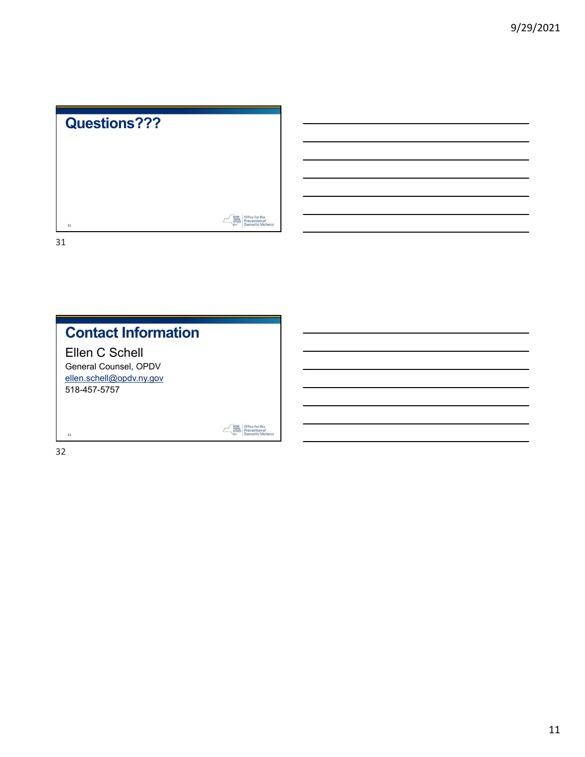

| <b>Contact Information</b>              |             |  |
|-----------------------------------------|-------------|--|
| Ellen C Schell<br>General Counsel, OPDV |             |  |
| ellen.schell@opdv.ny.gov                |             |  |
| 518-457-5757                            |             |  |
|                                         |             |  |
| 32                                      | <b>YORK</b> |  |

32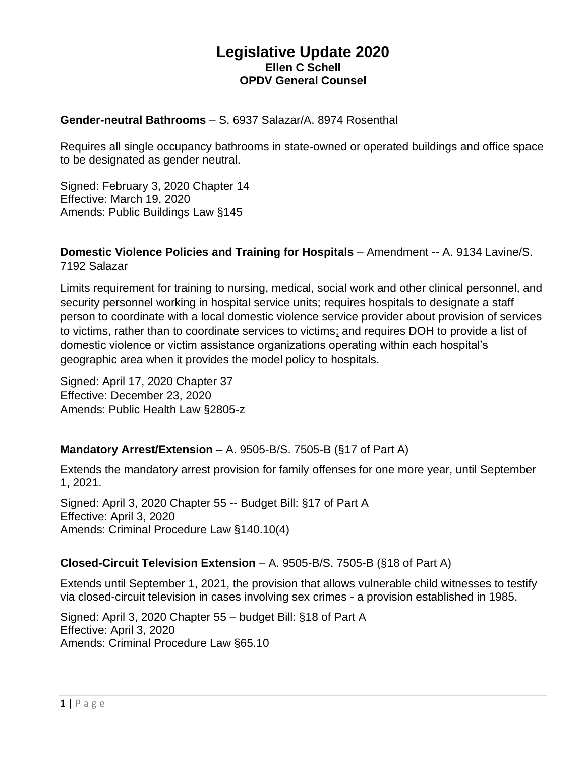#### **Legislative Update 2020 Ellen C Schell OPDV General Counsel**

#### **Gender-neutral Bathrooms** – S. 6937 Salazar/A. 8974 Rosenthal

Requires all single occupancy bathrooms in state-owned or operated buildings and office space to be designated as gender neutral.

Signed: February 3, 2020 Chapter 14 Effective: March 19, 2020 Amends: Public Buildings Law §145

**Domestic Violence Policies and Training for Hospitals** – Amendment -- A. 9134 Lavine/S. 7192 Salazar

Limits requirement for training to nursing, medical, social work and other clinical personnel, and security personnel working in hospital service units; requires hospitals to designate a staff person to coordinate with a local domestic violence service provider about provision of services to victims, rather than to coordinate services to victims; and requires DOH to provide a list of domestic violence or victim assistance organizations operating within each hospital's geographic area when it provides the model policy to hospitals.

Signed: April 17, 2020 Chapter 37 Effective: December 23, 2020 Amends: Public Health Law §2805-z

#### **Mandatory Arrest/Extension** – A. 9505-B/S. 7505-B (§17 of Part A)

Extends the mandatory arrest provision for family offenses for one more year, until September 1, 2021.

Signed: April 3, 2020 Chapter 55 -- Budget Bill: §17 of Part A Effective: April 3, 2020 Amends: Criminal Procedure Law §140.10(4)

#### **Closed-Circuit Television Extension** – A. 9505-B/S. 7505-B (§18 of Part A)

Extends until September 1, 2021, the provision that allows vulnerable child witnesses to testify via closed-circuit television in cases involving sex crimes - a provision established in 1985.

Signed: April 3, 2020 Chapter 55 – budget Bill: §18 of Part A Effective: April 3, 2020 Amends: Criminal Procedure Law §65.10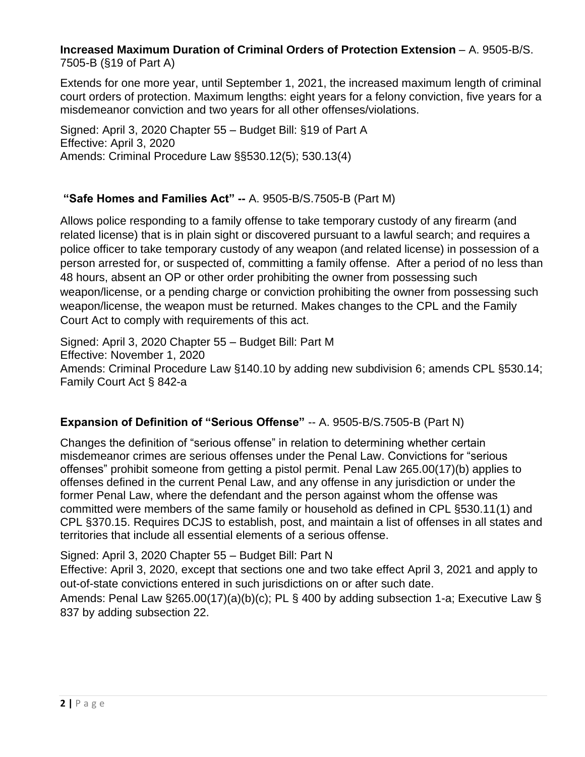#### **Increased Maximum Duration of Criminal Orders of Protection Extension** – A. 9505-B/S. 7505-B (§19 of Part A)

Extends for one more year, until September 1, 2021, the increased maximum length of criminal court orders of protection. Maximum lengths: eight years for a felony conviction, five years for a misdemeanor conviction and two years for all other offenses/violations.

Signed: April 3, 2020 Chapter 55 – Budget Bill: §19 of Part A Effective: April 3, 2020 Amends: Criminal Procedure Law §§530.12(5); 530.13(4)

#### **"Safe Homes and Families Act" --** A. 9505-B/S.7505-B (Part M)

Allows police responding to a family offense to take temporary custody of any firearm (and related license) that is in plain sight or discovered pursuant to a lawful search; and requires a police officer to take temporary custody of any weapon (and related license) in possession of a person arrested for, or suspected of, committing a family offense. After a period of no less than 48 hours, absent an OP or other order prohibiting the owner from possessing such weapon/license, or a pending charge or conviction prohibiting the owner from possessing such weapon/license, the weapon must be returned. Makes changes to the CPL and the Family Court Act to comply with requirements of this act.

Signed: April 3, 2020 Chapter 55 – Budget Bill: Part M Effective: November 1, 2020 Amends: Criminal Procedure Law §140.10 by adding new subdivision 6; amends CPL §530.14; Family Court Act § 842-a

#### **Expansion of Definition of "Serious Offense"** -- A. 9505-B/S.7505-B (Part N)

Changes the definition of "serious offense" in relation to determining whether certain misdemeanor crimes are serious offenses under the Penal Law. Convictions for "serious offenses" prohibit someone from getting a pistol permit. Penal Law 265.00(17)(b) applies to offenses defined in the current Penal Law, and any offense in any jurisdiction or under the former Penal Law, where the defendant and the person against whom the offense was committed were members of the same family or household as defined in CPL §530.11(1) and CPL §370.15. Requires DCJS to establish, post, and maintain a list of offenses in all states and territories that include all essential elements of a serious offense.

Signed: April 3, 2020 Chapter 55 – Budget Bill: Part N

Effective: April 3, 2020, except that sections one and two take effect April 3, 2021 and apply to out-of-state convictions entered in such jurisdictions on or after such date.

Amends: Penal Law §265.00(17)(a)(b)(c); PL § 400 by adding subsection 1-a; Executive Law § 837 by adding subsection 22.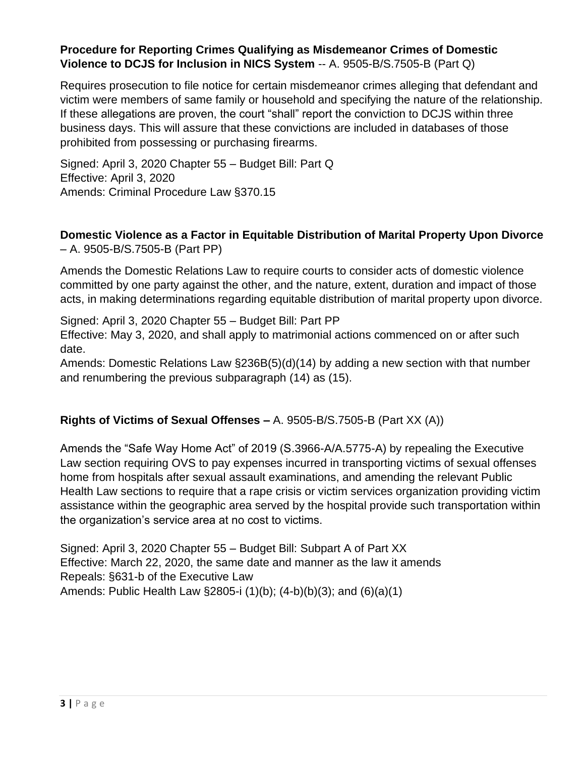#### **Procedure for Reporting Crimes Qualifying as Misdemeanor Crimes of Domestic Violence to DCJS for Inclusion in NICS System** -- A. 9505-B/S.7505-B (Part Q)

Requires prosecution to file notice for certain misdemeanor crimes alleging that defendant and victim were members of same family or household and specifying the nature of the relationship. If these allegations are proven, the court "shall" report the conviction to DCJS within three business days. This will assure that these convictions are included in databases of those prohibited from possessing or purchasing firearms.

Signed: April 3, 2020 Chapter 55 – Budget Bill: Part Q Effective: April 3, 2020 Amends: Criminal Procedure Law §370.15

#### **Domestic Violence as a Factor in Equitable Distribution of Marital Property Upon Divorce**  – A. 9505-B/S.7505-B (Part PP)

Amends the Domestic Relations Law to require courts to consider acts of domestic violence committed by one party against the other, and the nature, extent, duration and impact of those acts, in making determinations regarding equitable distribution of marital property upon divorce.

Signed: April 3, 2020 Chapter 55 – Budget Bill: Part PP

Effective: May 3, 2020, and shall apply to matrimonial actions commenced on or after such date.

Amends: Domestic Relations Law §236B(5)(d)(14) by adding a new section with that number and renumbering the previous subparagraph (14) as (15).

#### **Rights of Victims of Sexual Offenses –** A. 9505-B/S.7505-B (Part XX (A))

Amends the "Safe Way Home Act" of 2019 (S.3966-A/A.5775-A) by repealing the Executive Law section requiring OVS to pay expenses incurred in transporting victims of sexual offenses home from hospitals after sexual assault examinations, and amending the relevant Public Health Law sections to require that a rape crisis or victim services organization providing victim assistance within the geographic area served by the hospital provide such transportation within the organization's service area at no cost to victims.

Signed: April 3, 2020 Chapter 55 – Budget Bill: Subpart A of Part XX Effective: March 22, 2020, the same date and manner as the law it amends Repeals: §631-b of the Executive Law Amends: Public Health Law §2805-i (1)(b); (4-b)(b)(3); and (6)(a)(1)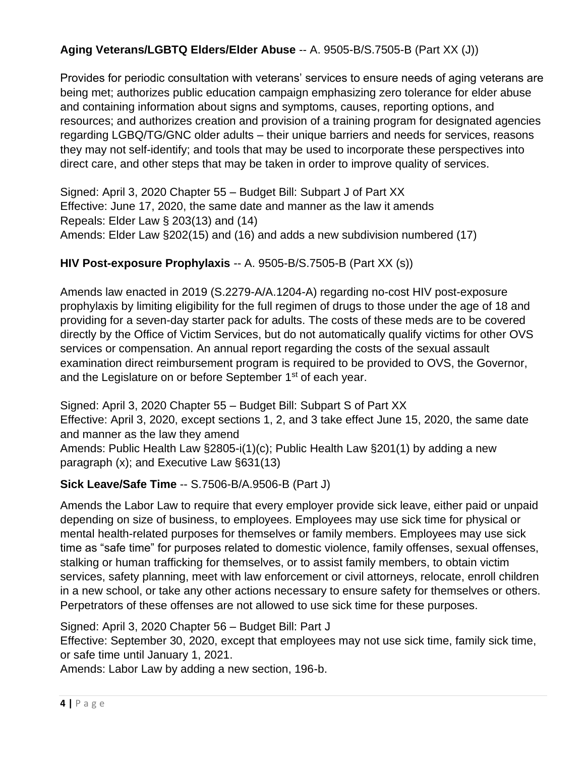## **Aging Veterans/LGBTQ Elders/Elder Abuse** -- A. 9505-B/S.7505-B (Part XX (J))

Provides for periodic consultation with veterans' services to ensure needs of aging veterans are being met; authorizes public education campaign emphasizing zero tolerance for elder abuse and containing information about signs and symptoms, causes, reporting options, and resources; and authorizes creation and provision of a training program for designated agencies regarding LGBQ/TG/GNC older adults – their unique barriers and needs for services, reasons they may not self-identify; and tools that may be used to incorporate these perspectives into direct care, and other steps that may be taken in order to improve quality of services.

Signed: April 3, 2020 Chapter 55 – Budget Bill: Subpart J of Part XX Effective: June 17, 2020, the same date and manner as the law it amends Repeals: Elder Law § 203(13) and (14) Amends: Elder Law §202(15) and (16) and adds a new subdivision numbered (17)

#### **HIV Post-exposure Prophylaxis** -- A. 9505-B/S.7505-B (Part XX (s))

Amends law enacted in 2019 (S.2279-A/A.1204-A) regarding no-cost HIV post-exposure prophylaxis by limiting eligibility for the full regimen of drugs to those under the age of 18 and providing for a seven-day starter pack for adults. The costs of these meds are to be covered directly by the Office of Victim Services, but do not automatically qualify victims for other OVS services or compensation. An annual report regarding the costs of the sexual assault examination direct reimbursement program is required to be provided to OVS, the Governor, and the Legislature on or before September 1<sup>st</sup> of each year.

Signed: April 3, 2020 Chapter 55 – Budget Bill: Subpart S of Part XX Effective: April 3, 2020, except sections 1, 2, and 3 take effect June 15, 2020, the same date and manner as the law they amend Amends: Public Health Law §2805-i(1)(c); Public Health Law §201(1) by adding a new paragraph (x); and Executive Law §631(13)

#### **Sick Leave/Safe Time** -- S.7506-B/A.9506-B (Part J)

Amends the Labor Law to require that every employer provide sick leave, either paid or unpaid depending on size of business, to employees. Employees may use sick time for physical or mental health-related purposes for themselves or family members. Employees may use sick time as "safe time" for purposes related to domestic violence, family offenses, sexual offenses, stalking or human trafficking for themselves, or to assist family members, to obtain victim services, safety planning, meet with law enforcement or civil attorneys, relocate, enroll children in a new school, or take any other actions necessary to ensure safety for themselves or others. Perpetrators of these offenses are not allowed to use sick time for these purposes.

Signed: April 3, 2020 Chapter 56 – Budget Bill: Part J

Effective: September 30, 2020, except that employees may not use sick time, family sick time, or safe time until January 1, 2021.

Amends: Labor Law by adding a new section, 196-b.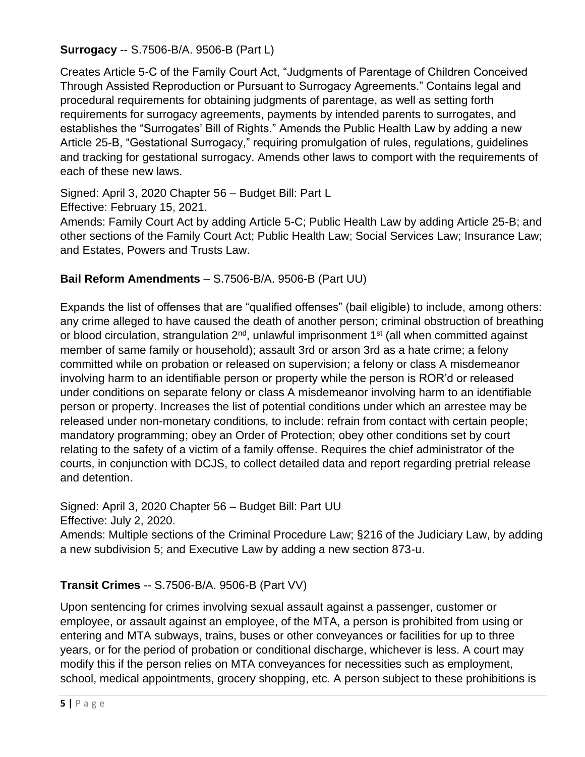**Surrogacy** -- S.7506-B/A. 9506-B (Part L)

Creates Article 5-C of the Family Court Act, "Judgments of Parentage of Children Conceived Through Assisted Reproduction or Pursuant to Surrogacy Agreements." Contains legal and procedural requirements for obtaining judgments of parentage, as well as setting forth requirements for surrogacy agreements, payments by intended parents to surrogates, and establishes the "Surrogates' Bill of Rights." Amends the Public Health Law by adding a new Article 25-B, "Gestational Surrogacy," requiring promulgation of rules, regulations, guidelines and tracking for gestational surrogacy. Amends other laws to comport with the requirements of each of these new laws.

Signed: April 3, 2020 Chapter 56 – Budget Bill: Part L

Effective: February 15, 2021.

Amends: Family Court Act by adding Article 5-C; Public Health Law by adding Article 25-B; and other sections of the Family Court Act; Public Health Law; Social Services Law; Insurance Law; and Estates, Powers and Trusts Law.

# **Bail Reform Amendments** – S.7506-B/A. 9506-B (Part UU)

Expands the list of offenses that are "qualified offenses" (bail eligible) to include, among others: any crime alleged to have caused the death of another person; criminal obstruction of breathing or blood circulation, strangulation  $2^{nd}$ , unlawful imprisonment 1<sup>st</sup> (all when committed against member of same family or household); assault 3rd or arson 3rd as a hate crime; a felony committed while on probation or released on supervision; a felony or class A misdemeanor involving harm to an identifiable person or property while the person is ROR'd or released under conditions on separate felony or class A misdemeanor involving harm to an identifiable person or property. Increases the list of potential conditions under which an arrestee may be released under non-monetary conditions, to include: refrain from contact with certain people; mandatory programming; obey an Order of Protection; obey other conditions set by court relating to the safety of a victim of a family offense. Requires the chief administrator of the courts, in conjunction with DCJS, to collect detailed data and report regarding pretrial release and detention.

Signed: April 3, 2020 Chapter 56 – Budget Bill: Part UU Effective: July 2, 2020.

Amends: Multiple sections of the Criminal Procedure Law; §216 of the Judiciary Law, by adding a new subdivision 5; and Executive Law by adding a new section 873-u.

# **Transit Crimes** -- S.7506-B/A. 9506-B (Part VV)

Upon sentencing for crimes involving sexual assault against a passenger, customer or employee, or assault against an employee, of the MTA, a person is prohibited from using or entering and MTA subways, trains, buses or other conveyances or facilities for up to three years, or for the period of probation or conditional discharge, whichever is less. A court may modify this if the person relies on MTA conveyances for necessities such as employment, school, medical appointments, grocery shopping, etc. A person subject to these prohibitions is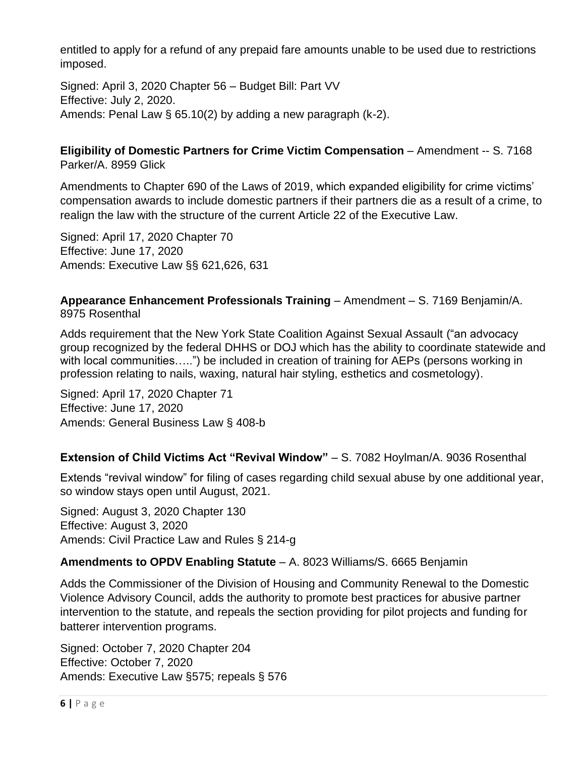entitled to apply for a refund of any prepaid fare amounts unable to be used due to restrictions imposed.

Signed: April 3, 2020 Chapter 56 – Budget Bill: Part VV Effective: July 2, 2020. Amends: Penal Law § 65.10(2) by adding a new paragraph (k-2).

**Eligibility of Domestic Partners for Crime Victim Compensation** – Amendment -- S. 7168 Parker/A. 8959 Glick

Amendments to Chapter 690 of the Laws of 2019, which expanded eligibility for crime victims' compensation awards to include domestic partners if their partners die as a result of a crime, to realign the law with the structure of the current Article 22 of the Executive Law.

Signed: April 17, 2020 Chapter 70 Effective: June 17, 2020 Amends: Executive Law §§ 621,626, 631

#### **Appearance Enhancement Professionals Training** – Amendment – S. 7169 Benjamin/A. 8975 Rosenthal

Adds requirement that the New York State Coalition Against Sexual Assault ("an advocacy group recognized by the federal DHHS or DOJ which has the ability to coordinate statewide and with local communities…..") be included in creation of training for AEPs (persons working in profession relating to nails, waxing, natural hair styling, esthetics and cosmetology).

Signed: April 17, 2020 Chapter 71 Effective: June 17, 2020 Amends: General Business Law § 408-b

#### **Extension of Child Victims Act "Revival Window"** - S. 7082 Hoylman/A. 9036 Rosenthal

Extends "revival window" for filing of cases regarding child sexual abuse by one additional year, so window stays open until August, 2021.

Signed: August 3, 2020 Chapter 130 Effective: August 3, 2020 Amends: Civil Practice Law and Rules § 214-g

#### **Amendments to OPDV Enabling Statute** – A. 8023 Williams/S. 6665 Benjamin

Adds the Commissioner of the Division of Housing and Community Renewal to the Domestic Violence Advisory Council, adds the authority to promote best practices for abusive partner intervention to the statute, and repeals the section providing for pilot projects and funding for batterer intervention programs.

Signed: October 7, 2020 Chapter 204 Effective: October 7, 2020 Amends: Executive Law §575; repeals § 576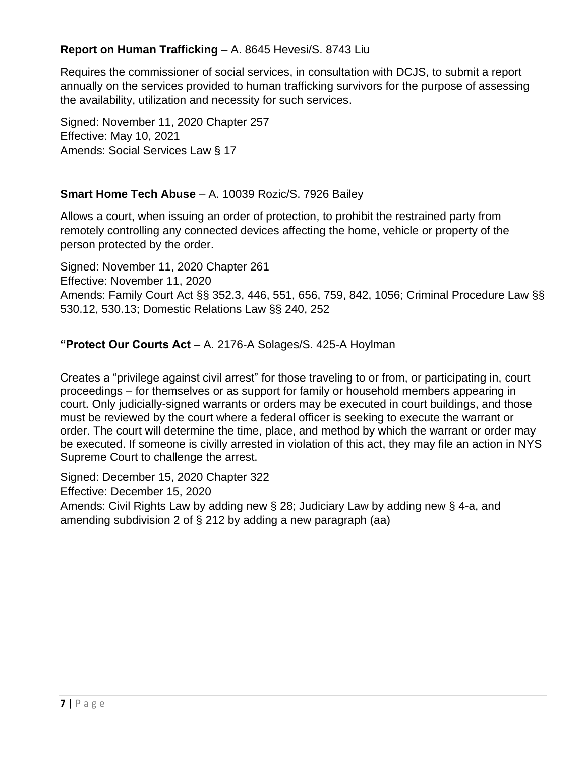#### **Report on Human Trafficking** – A. 8645 Hevesi/S. 8743 Liu

Requires the commissioner of social services, in consultation with DCJS, to submit a report annually on the services provided to human trafficking survivors for the purpose of assessing the availability, utilization and necessity for such services.

Signed: November 11, 2020 Chapter 257 Effective: May 10, 2021 Amends: Social Services Law § 17

#### **Smart Home Tech Abuse** – A. 10039 Rozic/S. 7926 Bailey

Allows a court, when issuing an order of protection, to prohibit the restrained party from remotely controlling any connected devices affecting the home, vehicle or property of the person protected by the order.

Signed: November 11, 2020 Chapter 261 Effective: November 11, 2020 Amends: Family Court Act §§ 352.3, 446, 551, 656, 759, 842, 1056; Criminal Procedure Law §§ 530.12, 530.13; Domestic Relations Law §§ 240, 252

#### **"Protect Our Courts Act** – A. 2176-A Solages/S. 425-A Hoylman

Creates a "privilege against civil arrest" for those traveling to or from, or participating in, court proceedings – for themselves or as support for family or household members appearing in court. Only judicially-signed warrants or orders may be executed in court buildings, and those must be reviewed by the court where a federal officer is seeking to execute the warrant or order. The court will determine the time, place, and method by which the warrant or order may be executed. If someone is civilly arrested in violation of this act, they may file an action in NYS Supreme Court to challenge the arrest.

Signed: December 15, 2020 Chapter 322

Effective: December 15, 2020

Amends: Civil Rights Law by adding new § 28; Judiciary Law by adding new § 4-a, and amending subdivision 2 of § 212 by adding a new paragraph (aa)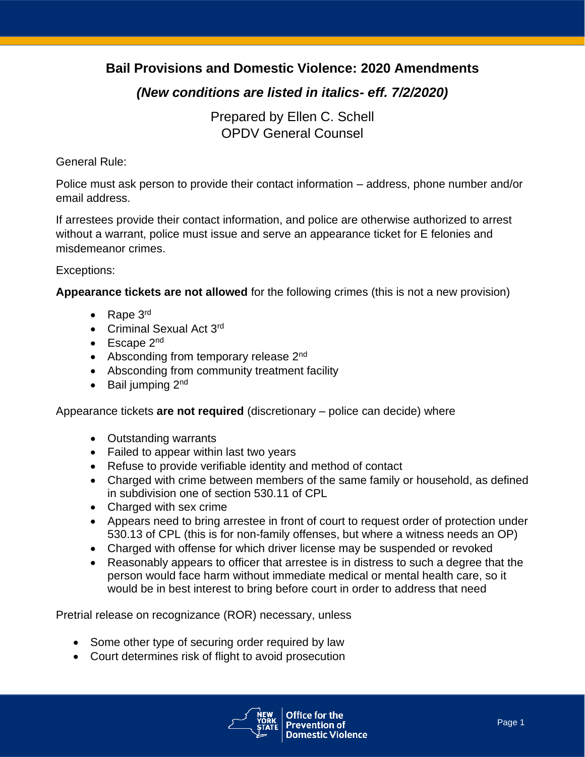# **Bail Provisions and Domestic Violence: 2020 Amendments**

# *(New conditions are listed in italics- eff. 7/2/2020)*

Prepared by Ellen C. Schell OPDV General Counsel

#### General Rule:

Police must ask person to provide their contact information – address, phone number and/or email address.

If arrestees provide their contact information, and police are otherwise authorized to arrest without a warrant, police must issue and serve an appearance ticket for E felonies and misdemeanor crimes.

#### Exceptions:

**Appearance tickets are not allowed** for the following crimes (this is not a new provision)

- Rape 3<sup>rd</sup>
- Criminal Sexual Act 3<sup>rd</sup>
- Escape 2<sup>nd</sup>
- Absconding from temporary release  $2<sup>nd</sup>$
- Absconding from community treatment facility
- $\bullet$  Bail jumping  $2^{nd}$

Appearance tickets **are not required** (discretionary – police can decide) where

- Outstanding warrants
- Failed to appear within last two years
- Refuse to provide verifiable identity and method of contact
- Charged with crime between members of the same family or household, as defined in subdivision one of section 530.11 of CPL
- Charged with sex crime
- Appears need to bring arrestee in front of court to request order of protection under 530.13 of CPL (this is for non-family offenses, but where a witness needs an OP)
- Charged with offense for which driver license may be suspended or revoked
- Reasonably appears to officer that arrestee is in distress to such a degree that the person would face harm without immediate medical or mental health care, so it would be in best interest to bring before court in order to address that need

Pretrial release on recognizance (ROR) necessary, unless

- Some other type of securing order required by law
- Court determines risk of flight to avoid prosecution

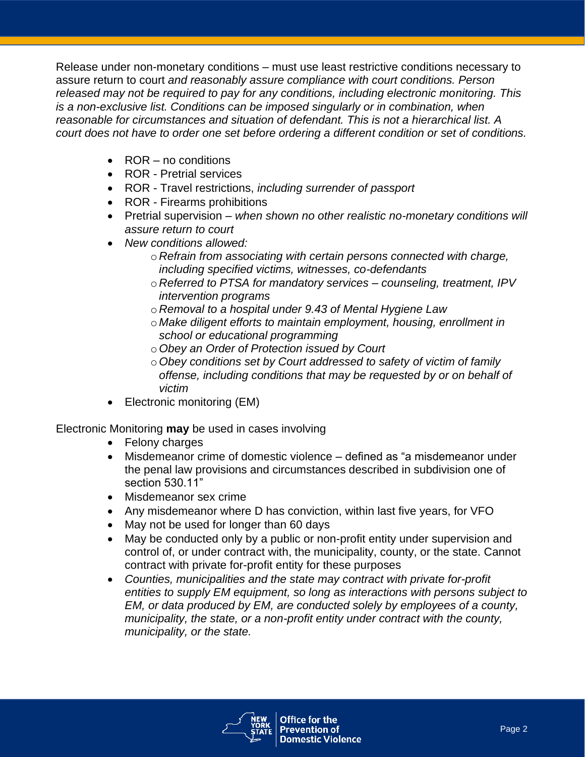Release under non-monetary conditions – must use least restrictive conditions necessary to assure return to court *and reasonably assure compliance with court conditions. Person released may not be required to pay for any conditions, including electronic monitoring. This is a non-exclusive list. Conditions can be imposed singularly or in combination, when reasonable for circumstances and situation of defendant. This is not a hierarchical list. A court does not have to order one set before ordering a different condition or set of conditions.* 

- ROR no conditions
- ROR Pretrial services
- ROR Travel restrictions, *including surrender of passport*
- ROR Firearms prohibitions
- Pretrial supervision *when shown no other realistic no-monetary conditions will assure return to court*
- *New conditions allowed:*
	- o *Refrain from associating with certain persons connected with charge, including specified victims, witnesses, co-defendants*
	- o *Referred to PTSA for mandatory services – counseling, treatment, IPV intervention programs*
	- o *Removal to a hospital under 9.43 of Mental Hygiene Law*
	- o *Make diligent efforts to maintain employment, housing, enrollment in school or educational programming*
	- o*Obey an Order of Protection issued by Court*
	- o*Obey conditions set by Court addressed to safety of victim of family offense, including conditions that may be requested by or on behalf of victim*
- Electronic monitoring (EM)

Electronic Monitoring **may** be used in cases involving

- Felony charges
- Misdemeanor crime of domestic violence defined as "a misdemeanor under the penal law provisions and circumstances described in subdivision one of section 530.11"
- Misdemeanor sex crime
- Any misdemeanor where D has conviction, within last five years, for VFO
- May not be used for longer than 60 days
- May be conducted only by a public or non-profit entity under supervision and control of, or under contract with, the municipality, county, or the state. Cannot contract with private for-profit entity for these purposes
- *Counties, municipalities and the state may contract with private for-profit entities to supply EM equipment, so long as interactions with persons subject to EM, or data produced by EM, are conducted solely by employees of a county, municipality, the state, or a non-profit entity under contract with the county, municipality, or the state.*

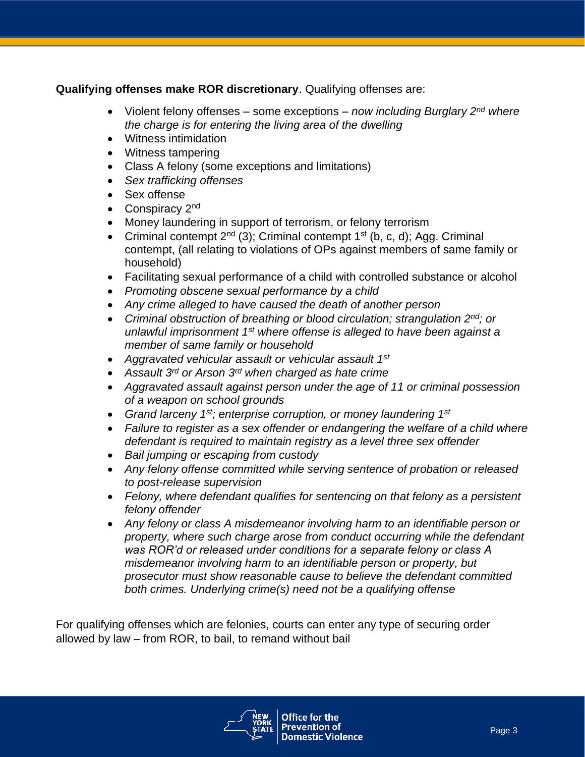#### **Qualifying offenses make ROR discretionary**. Qualifying offenses are:

- Violent felony offenses some exceptions *now including Burglary 2nd where the charge is for entering the living area of the dwelling*
- Witness intimidation
- Witness tampering
- Class A felony (some exceptions and limitations)
- *Sex trafficking offenses*
- Sex offense
- Conspiracy 2<sup>nd</sup>
- Money laundering in support of terrorism, or felony terrorism
- Criminal contempt  $2^{nd}$  (3); Criminal contempt  $1^{st}$  (b, c, d); Agg. Criminal contempt, (all relating to violations of OPs against members of same family or household)
- Facilitating sexual performance of a child with controlled substance or alcohol
- *Promoting obscene sexual performance by a child*
- *Any crime alleged to have caused the death of another person*
- *Criminal obstruction of breathing or blood circulation; strangulation 2nd; or unlawful imprisonment 1st where offense is alleged to have been against a member of same family or household*
- *Aggravated vehicular assault or vehicular assault 1st*
- *Assault 3rd or Arson 3rd when charged as hate crime*
- *Aggravated assault against person under the age of 11 or criminal possession of a weapon on school grounds*
- *Grand larceny 1st; enterprise corruption, or money laundering 1st*
- *Failure to register as a sex offender or endangering the welfare of a child where defendant is required to maintain registry as a level three sex offender*
- *Bail jumping or escaping from custody*
- *Any felony offense committed while serving sentence of probation or released to post-release supervision*
- *Felony, where defendant qualifies for sentencing on that felony as a persistent felony offender*
- *Any felony or class A misdemeanor involving harm to an identifiable person or property, where such charge arose from conduct occurring while the defendant was ROR'd or released under conditions for a separate felony or class A misdemeanor involving harm to an identifiable person or property, but prosecutor must show reasonable cause to believe the defendant committed both crimes. Underlying crime(s) need not be a qualifying offense*

For qualifying offenses which are felonies, courts can enter any type of securing order allowed by law – from ROR, to bail, to remand without bail

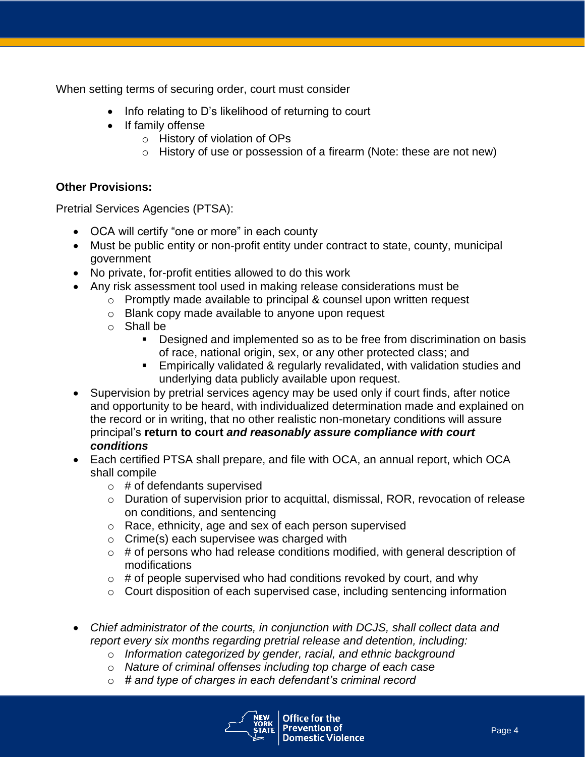When setting terms of securing order, court must consider

- Info relating to D's likelihood of returning to court
- If family offense
	- o History of violation of OPs
	- o History of use or possession of a firearm (Note: these are not new)

#### **Other Provisions:**

Pretrial Services Agencies (PTSA):

- OCA will certify "one or more" in each county
- Must be public entity or non-profit entity under contract to state, county, municipal government
- No private, for-profit entities allowed to do this work
- Any risk assessment tool used in making release considerations must be
	- o Promptly made available to principal & counsel upon written request
	- o Blank copy made available to anyone upon request
	- o Shall be
		- Designed and implemented so as to be free from discrimination on basis of race, national origin, sex, or any other protected class; and
		- **Empirically validated & regularly revalidated, with validation studies and** underlying data publicly available upon request.
- Supervision by pretrial services agency may be used only if court finds, after notice and opportunity to be heard, with individualized determination made and explained on the record or in writing, that no other realistic non-monetary conditions will assure principal's **return to court** *and reasonably assure compliance with court conditions*
- Each certified PTSA shall prepare, and file with OCA, an annual report, which OCA shall compile
	- $\circ$  # of defendants supervised
	- o Duration of supervision prior to acquittal, dismissal, ROR, revocation of release on conditions, and sentencing
	- o Race, ethnicity, age and sex of each person supervised
	- $\circ$  Crime(s) each supervisee was charged with
	- $\circ$  # of persons who had release conditions modified, with general description of modifications
	- $\circ$  # of people supervised who had conditions revoked by court, and why
	- $\circ$  Court disposition of each supervised case, including sentencing information
- *Chief administrator of the courts, in conjunction with DCJS, shall collect data and report every six months regarding pretrial release and detention, including:*
	- o *Information categorized by gender, racial, and ethnic background*
	- o *Nature of criminal offenses including top charge of each case*
	- o *# and type of charges in each defendant's criminal record*

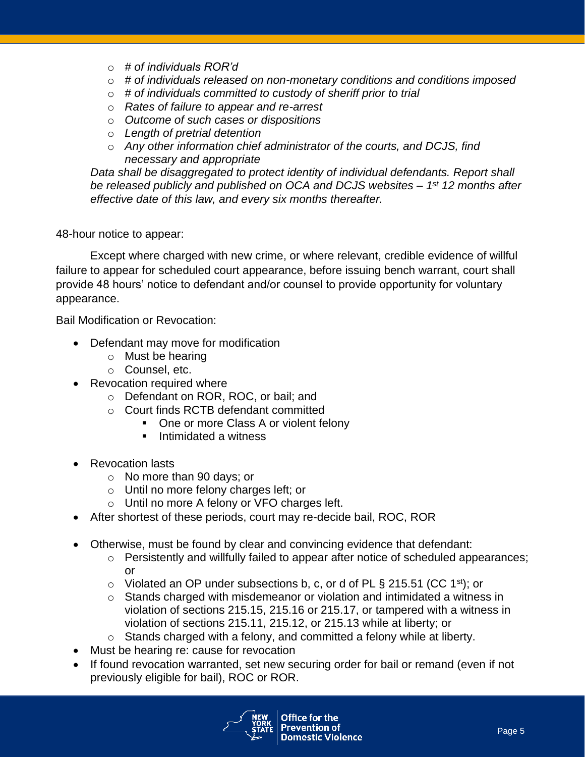- o *# of individuals ROR'd*
- o *# of individuals released on non-monetary conditions and conditions imposed*
- o *# of individuals committed to custody of sheriff prior to trial*
- o *Rates of failure to appear and re-arrest*
- o *Outcome of such cases or dispositions*
- o *Length of pretrial detention*
- o *Any other information chief administrator of the courts, and DCJS, find necessary and appropriate*

*Data shall be disaggregated to protect identity of individual defendants. Report shall*  be released publicly and published on OCA and DCJS websites – 1<sup>st</sup> 12 months after *effective date of this law, and every six months thereafter.*

#### 48-hour notice to appear:

Except where charged with new crime, or where relevant, credible evidence of willful failure to appear for scheduled court appearance, before issuing bench warrant, court shall provide 48 hours' notice to defendant and/or counsel to provide opportunity for voluntary appearance.

Bail Modification or Revocation:

- Defendant may move for modification
	- o Must be hearing
	- o Counsel, etc.
- Revocation required where
	- o Defendant on ROR, ROC, or bail; and
	- o Court finds RCTB defendant committed
		- One or more Class A or violent felony
		- Intimidated a witness
- Revocation lasts
	- o No more than 90 days; or
	- o Until no more felony charges left; or
	- o Until no more A felony or VFO charges left.
- After shortest of these periods, court may re-decide bail, ROC, ROR
- Otherwise, must be found by clear and convincing evidence that defendant:
	- o Persistently and willfully failed to appear after notice of scheduled appearances; or
	- $\circ$  Violated an OP under subsections b, c, or d of PL § 215.51 (CC 1<sup>st</sup>); or
	- o Stands charged with misdemeanor or violation and intimidated a witness in violation of sections 215.15, 215.16 or 215.17, or tampered with a witness in violation of sections 215.11, 215.12, or 215.13 while at liberty; or
	- $\circ$  Stands charged with a felony, and committed a felony while at liberty.
- Must be hearing re: cause for revocation
- If found revocation warranted, set new securing order for bail or remand (even if not previously eligible for bail), ROC or ROR.

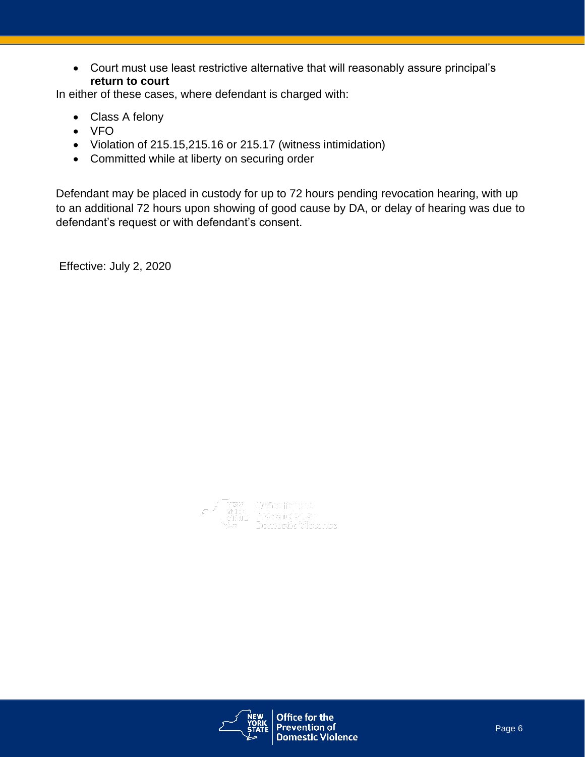• Court must use least restrictive alternative that will reasonably assure principal's **return to court**

In either of these cases, where defendant is charged with:

- Class A felony
- VFO
- Violation of 215.15,215.16 or 215.17 (witness intimidation)
- Committed while at liberty on securing order

Defendant may be placed in custody for up to 72 hours pending revocation hearing, with up to an additional 72 hours upon showing of good cause by DA, or delay of hearing was due to defendant's request or with defendant's consent.

Effective: July 2, 2020



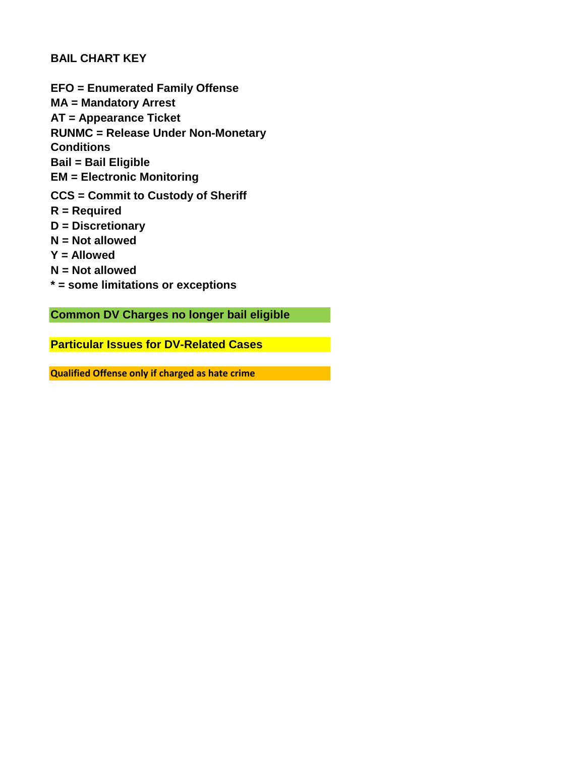#### **BAIL CHART KEY**

**EFO = Enumerated Family Offense MA = Mandatory Arrest AT = Appearance Ticket RUNMC = Release Under Non-Monetary Conditions Bail = Bail Eligible EM = Electronic Monitoring CCS = Commit to Custody of Sheriff R = Required D = Discretionary N = Not allowed Y = Allowed N = Not allowed \* = some limitations or exceptions**

**Common DV Charges no longer bail eligible**

**Particular Issues for DV-Related Cases**

**Qualified Offense only if charged as hate crime**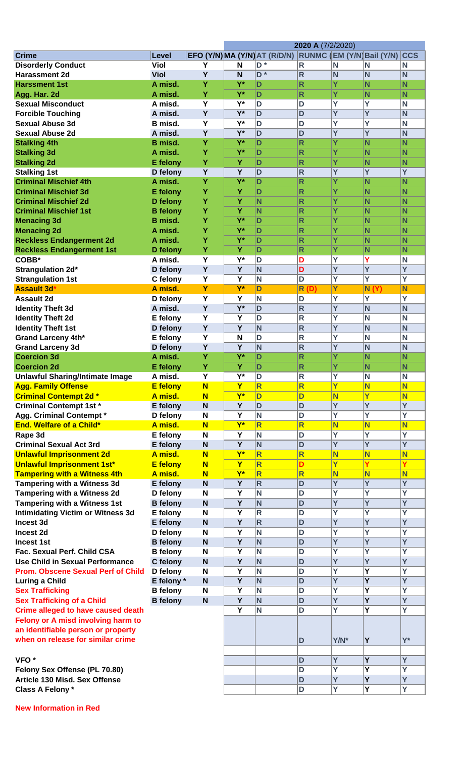|                                           |                 |                         |                         |                               | 2020 A (7/2/2020)       |                         |                            |                         |
|-------------------------------------------|-----------------|-------------------------|-------------------------|-------------------------------|-------------------------|-------------------------|----------------------------|-------------------------|
| <b>Crime</b>                              | Level           |                         |                         | EFO (Y/N) MA (Y/N) AT (R/D/N) |                         |                         | RUNMC (EM (Y/N) Bail (Y/N) | <b>CCS</b>              |
| <b>Disorderly Conduct</b>                 | <b>Viol</b>     | Y                       | N                       | D <sup>*</sup>                | $\mathsf{R}$            | N                       | N                          | N                       |
| <b>Harassment 2d</b>                      | <b>Viol</b>     | Y                       | N                       | $\overline{D}$ *              | $\mathsf{R}$            | N                       | N                          | N                       |
| <b>Harssment 1st</b>                      | A misd.         | Y                       | $Y^*$                   | D                             | $\mathsf{R}$            | Y                       | N                          | N                       |
| Agg. Har. 2d                              | A misd.         | Ÿ                       | $Y^*$                   | D                             | $\mathsf{R}$            | Y                       | N                          | N                       |
| <b>Sexual Misconduct</b>                  | A misd.         | Y                       | Y*                      | D                             | D                       | Y                       | Y                          | N                       |
| <b>Forcible Touching</b>                  | A misd.         | Y                       | $Y^*$                   | D                             | D                       | Ÿ                       | Ÿ                          | N                       |
| <b>Sexual Abuse 3d</b>                    | B misd.         | Y                       | Y*                      | D                             | D                       | Ý                       | Y                          | N                       |
| <b>Sexual Abuse 2d</b>                    | A misd.         | Y                       | $Y^*$                   | D                             | D                       | Y                       | Y                          | N                       |
| <b>Stalking 4th</b>                       | B misd.         | Ÿ                       | $Y^*$                   | D                             | $\mathsf{R}$            | Y                       | N                          | N                       |
| <b>Stalking 3d</b>                        | A misd.         | Y                       | $Y^*$                   | D                             | $\mathsf{R}$            | Y                       | N                          | N                       |
| <b>Stalking 2d</b>                        | E felony        | Y                       | Y                       | D                             | $\mathsf{R}$            | Y                       | N                          | N                       |
| <b>Stalking 1st</b>                       | D felony        | Y                       | Y                       | D                             | $\overline{\mathsf{R}}$ | Ÿ                       | Ÿ                          | Ÿ                       |
| <b>Criminal Mischief 4th</b>              | A misd.         | Y                       | $Y^*$                   | D                             | R                       | Y                       | N                          | N                       |
| <b>Criminal Mischief 3d</b>               | <b>E</b> felony | Y                       | Y                       | D                             | $\mathsf{R}$            | Y                       | N                          | N                       |
| <b>Criminal Mischief 2d</b>               | D felony        | Y                       | $\overline{\mathsf{Y}}$ | N                             | $\mathsf{R}$            | Ÿ                       | N                          | N                       |
| <b>Criminal Mischief 1st</b>              | <b>B</b> felony | Ÿ                       | $\overline{\mathsf{Y}}$ | $\mathsf{N}$                  | $\mathsf{R}$            | Y                       | N                          | N                       |
| <b>Menacing 3d</b>                        | <b>B</b> misd.  | Y                       | $Y^*$                   | D                             | $\mathsf{R}$            | Y                       | N                          | N                       |
| <b>Menacing 2d</b>                        | A misd.         | Y                       | $Y^*$                   | D                             | $\mathsf{R}$            | Ÿ                       | N                          | N                       |
| <b>Reckless Endangerment 2d</b>           | A misd.         | Y                       | $Y^*$                   | D                             | $\mathsf{R}$            | Ÿ                       | N                          | N                       |
| <b>Reckless Endangerment 1st</b>          | D felony        | Y                       | Ÿ                       | D                             | $\mathsf{R}$            | Y                       | N                          | N                       |
| COBB*                                     | A misd.         | Y                       | Y*                      | D                             | D                       | Y                       | Y                          | N                       |
| Strangulation 2d*                         | D felony        | Y                       | Y                       | N                             | D                       | Y                       | Y                          | $\overline{Y}$          |
| <b>Strangulation 1st</b>                  | C felony        | Y                       | $\overline{\mathsf{Y}}$ | N                             | D                       | $\overline{\mathsf{Y}}$ | Y                          | $\overline{\mathsf{Y}}$ |
| <b>Assault 3d'</b>                        | A misd.         | Y                       | $Y^*$                   | D                             | <b>R</b> (D)            | Υ                       | N(Y)                       | N                       |
| <b>Assault 2d</b>                         | D felony        | Y                       | Y                       | N                             | D                       | Y                       | Υ                          | $\overline{Y}$          |
| <b>Identity Theft 3d</b>                  | A misd.         | Y                       | $Y^*$                   | D                             | $\overline{\mathsf{R}}$ | Ÿ                       | N                          | N                       |
| <b>Identity Theft 2d</b>                  | E felony        | Y                       | $\overline{\mathsf{Y}}$ | D                             | $\mathsf{R}$            | Y                       | $\overline{\mathsf{N}}$    | N                       |
| <b>Identity Theft 1st</b>                 | D felony        | Y                       | Y                       | N                             | $\mathsf{R}$            | Y                       | N                          | N                       |
| <b>Grand Larceny 4th*</b>                 | E felony        | Y                       | N                       | D                             | $\mathsf{R}$            | Y                       | N                          | N                       |
| <b>Grand Larceny 3d</b>                   | D felony        | Y                       | Y                       | N                             | $\overline{\mathsf{R}}$ | Ÿ                       | N                          | N                       |
| <b>Coercion 3d</b>                        | A misd.         | Ÿ                       | $Y^*$                   | D                             | $\mathsf{R}$            | Y                       | N                          | N                       |
| <b>Coercion 2d</b>                        | <b>E</b> felony | Y                       | Ÿ                       | D                             | $\mathsf{R}$            | Y                       | N                          | N                       |
| <b>Unlawful Sharing/Intimate Image</b>    | A misd.         | Y                       | Y*                      | D                             | $\mathsf{R}$            | Y                       | N                          | N                       |
| <b>Agg. Family Offense</b>                | <b>E</b> felony | $\overline{\mathsf{N}}$ | $\mathbf Y$             | $\overline{\mathsf{R}}$       | R                       | Y                       | N                          | N                       |
| <b>Criminal Contempt 2d*</b>              | A misd.         | N                       | $Y^*$                   | D                             | D                       | N                       | Υ                          | N                       |
| <b>Criminal Contempt 1st*</b>             | E felony        | N                       | Y                       | D                             | D                       | Y                       | Y                          | Y                       |
| <b>Agg. Criminal Contempt *</b>           | D felony        | N                       | Y                       | N                             | D                       | Y                       | Ý                          | Ý                       |
| End. Welfare of a Child*                  | A misd.         | $\overline{\mathsf{N}}$ | $Y^*$                   | $\overline{\mathsf{R}}$       | $\overline{\mathsf{R}}$ | N                       | N                          | N                       |
| Rape 3d                                   | E felony        | N                       | Y                       | N                             | D                       | $\overline{\mathsf{Y}}$ | Y                          | $\overline{Y}$          |
| <b>Criminal Sexual Act 3rd</b>            | E felony        | N                       | Y                       | N                             | D                       | Y                       | Y                          | $\overline{Y}$          |
| <b>Unlawful Imprisonment 2d</b>           | A misd.         | $\overline{\mathsf{N}}$ | $Y^*$                   | $\overline{\mathsf{R}}$       | $\overline{\mathsf{R}}$ | N                       | N                          | N                       |
| <b>Unlawful Imprisonment 1st*</b>         | <b>E</b> felony | N                       | Y                       | $\overline{\mathsf{R}}$       | D                       | Y                       | Y                          | Y                       |
| <b>Tampering with a Witness 4th</b>       | A misd.         | N                       | $\overline{Y^*}$        | $\overline{\mathsf{R}}$       | $\overline{\mathsf{R}}$ | N                       | N                          | N                       |
| <b>Tampering with a Witness 3d</b>        | E felony        | N                       | Y                       | R                             | D                       | Y                       | Y                          | Y                       |
| <b>Tampering with a Witness 2d</b>        | D felony        | N                       | $\overline{\mathsf{Y}}$ | N                             | D                       | $\overline{\mathsf{Y}}$ | Y                          | $\overline{\mathsf{Y}}$ |
| <b>Tampering with a Witness 1st</b>       | <b>B</b> felony | N                       | Y                       | N                             | D                       | Y                       | Y                          | Ý                       |
| <b>Intimidating Victim or Witness 3d</b>  | E felony        | N                       | Y                       | $\mathsf{R}$                  | D                       | Ý                       | Y                          | Y                       |
| Incest 3d                                 | E felony        | N                       | Y                       | $\overline{\mathsf{R}}$       | D                       | Y                       | Y                          | Y                       |
| Incest 2d                                 | D felony        | N                       | Y                       | N                             | D                       | Ý                       | Ý                          | Ý                       |
| <b>Incest 1st</b>                         | <b>B</b> felony | N                       | $\overline{Y}$          | N                             | D                       | Ÿ                       | Y                          | Y                       |
| Fac. Sexual Perf. Child CSA               | <b>B</b> felony | N                       | Y                       | N                             | D                       | Ý                       | Υ                          | Ý                       |
| <b>Use Child in Sexual Performance</b>    | C felony        | N                       | $\overline{\mathsf{Y}}$ | N                             | D                       | $\overline{Y}$          | $\overline{\mathsf{Y}}$    | $\overline{Y}$          |
| <b>Prom. Obscene Sexual Perf of Child</b> | D felony        | N                       | Y                       | N                             | D                       | Y                       | Υ                          | $\overline{Y}$          |
| <b>Luring a Child</b>                     | E felony *      | N                       | Y                       | N                             | D                       | Y                       | Y                          | Y                       |
| <b>Sex Trafficking</b>                    | <b>B</b> felony | N                       | Y                       | N                             | D                       | Y                       | Ý                          | Y                       |
| <b>Sex Trafficking of a Child</b>         | <b>B</b> felony | N                       | Y                       | N                             | D                       | Ÿ                       | Ý                          | Y                       |
| <b>Crime alleged to have caused death</b> |                 |                         | $\overline{\mathsf{Y}}$ | N                             | D                       | Y                       | Y                          | Y                       |
| Felony or A misd involving harm to        |                 |                         |                         |                               |                         |                         |                            |                         |
| an identifiable person or property        |                 |                         |                         |                               |                         |                         |                            |                         |
| when on release for similar crime         |                 |                         |                         |                               | D                       | Y/N*                    | Y                          | $Y^*$                   |
|                                           |                 |                         |                         |                               |                         |                         |                            |                         |
| VFO <sup>*</sup>                          |                 |                         |                         |                               | D                       | Ÿ                       | Y                          | Y                       |
| Felony Sex Offense (PL 70.80)             |                 |                         |                         |                               | D                       | $\overline{\mathsf{Y}}$ | Υ                          | $\overline{\mathsf{Y}}$ |
| Article 130 Misd. Sex Offense             |                 |                         |                         |                               | D                       | Y                       | Υ                          | Y                       |
| Class A Felony *                          |                 |                         |                         |                               | D                       | $\overline{Y}$          | Υ                          | Y                       |

**New Information in Red**